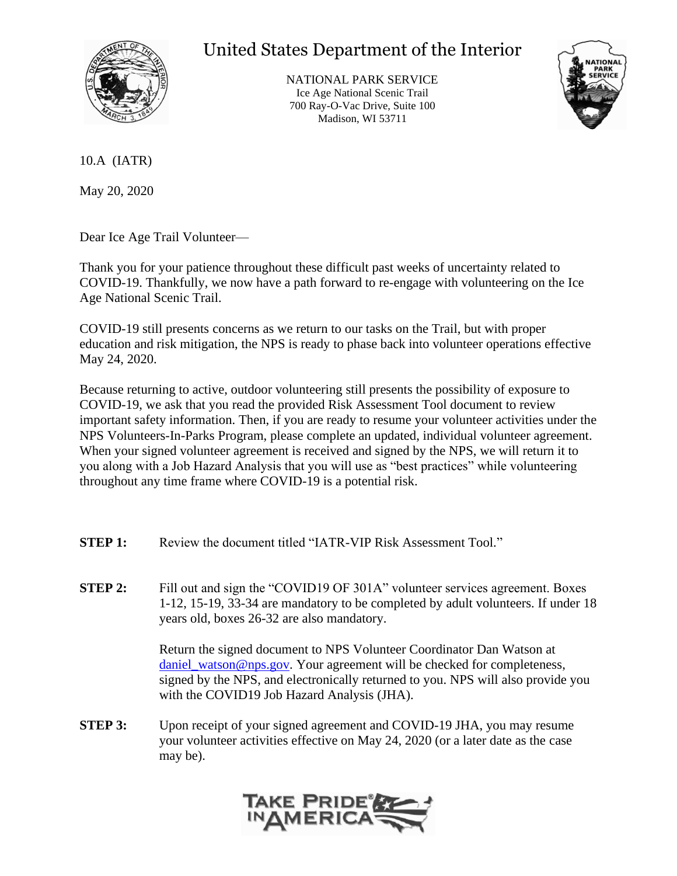

## United States Department of the Interior

NATIONAL PARK SERVICE Ice Age National Scenic Trail 700 Ray-O-Vac Drive, Suite 100 Madison, WI 53711



10.A (IATR)

May 20, 2020

Dear Ice Age Trail Volunteer—

Thank you for your patience throughout these difficult past weeks of uncertainty related to COVID-19. Thankfully, we now have a path forward to re-engage with volunteering on the Ice Age National Scenic Trail.

COVID-19 still presents concerns as we return to our tasks on the Trail, but with proper education and risk mitigation, the NPS is ready to phase back into volunteer operations effective May 24, 2020.

Because returning to active, outdoor volunteering still presents the possibility of exposure to COVID-19, we ask that you read the provided Risk Assessment Tool document to review important safety information. Then, if you are ready to resume your volunteer activities under the NPS Volunteers-In-Parks Program, please complete an updated, individual volunteer agreement. When your signed volunteer agreement is received and signed by the NPS, we will return it to you along with a Job Hazard Analysis that you will use as "best practices" while volunteering throughout any time frame where COVID-19 is a potential risk.

- **STEP 1:** Review the document titled "IATR-VIP Risk Assessment Tool."
- **STEP 2:** Fill out and sign the "COVID19 OF 301A" volunteer services agreement. Boxes 1-12, 15-19, 33-34 are mandatory to be completed by adult volunteers. If under 18 years old, boxes 26-32 are also mandatory.

Return the signed document to NPS Volunteer Coordinator Dan Watson at [daniel\\_watson@nps.gov.](mailto:daniel_watson@nps.gov) Your agreement will be checked for completeness, signed by the NPS, and electronically returned to you. NPS will also provide you with the COVID19 Job Hazard Analysis (JHA).

**STEP 3:** Upon receipt of your signed agreement and COVID-19 JHA, you may resume your volunteer activities effective on May 24, 2020 (or a later date as the case may be).